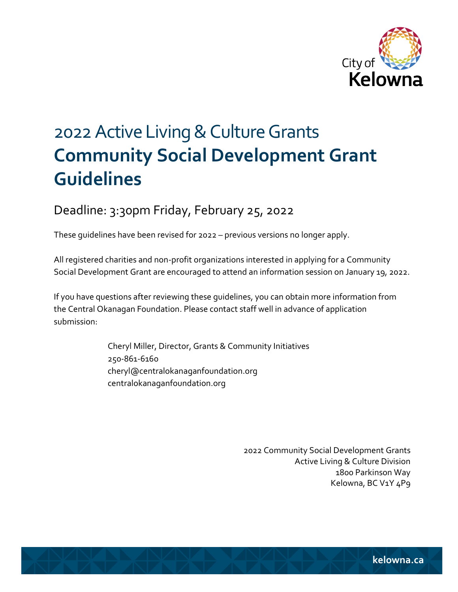

# 2022 Active Living & Culture Grants **Community Social Development Grant Guidelines**

# Deadline: 3:30pm Friday, February 25, 2022

These guidelines have been revised for 2022 – previous versions no longer apply.

All registered charities and non-profit organizations interested in applying for a Community Social Development Grant are encouraged to attend an information session on January 19, 2022.

If you have questions after reviewing these guidelines, you can obtain more information from the Central Okanagan Foundation. Please contact staff well in advance of application submission:

> Cheryl Miller, Director, Grants & Community Initiatives 250-861-6160 cheryl@centralokanaganfoundation.org centralokanaganfoundation.org

> > 2022 Community Social Development Grants Active Living & Culture Division 1800 Parkinson Way Kelowna, BC V1Y 4P9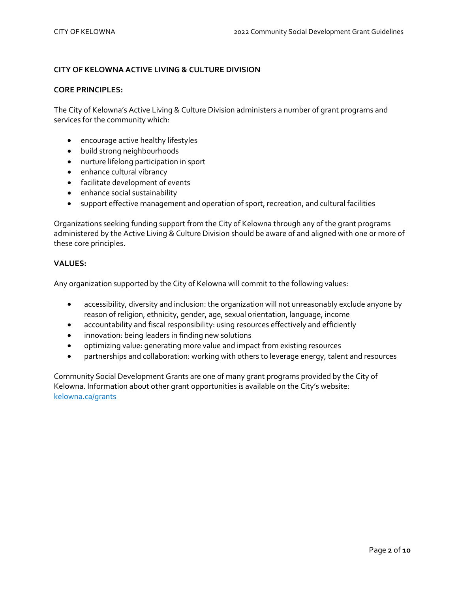# **CITY OF KELOWNA ACTIVE LIVING & CULTURE DIVISION**

#### **CORE PRINCIPLES:**

The City of Kelowna's Active Living & Culture Division administers a number of grant programs and services for the community which:

- encourage active healthy lifestyles
- build strong neighbourhoods
- nurture lifelong participation in sport
- enhance cultural vibrancy
- facilitate development of events
- enhance social sustainability
- support effective management and operation of sport, recreation, and cultural facilities

Organizations seeking funding support from the City of Kelowna through any of the grant programs administered by the Active Living & Culture Division should be aware of and aligned with one or more of these core principles.

#### **VALUES:**

Any organization supported by the City of Kelowna will commit to the following values:

- accessibility, diversity and inclusion: the organization will not unreasonably exclude anyone by reason of religion, ethnicity, gender, age, sexual orientation, language, income
- accountability and fiscal responsibility: using resources effectively and efficiently
- innovation: being leaders in finding new solutions
- optimizing value: generating more value and impact from existing resources
- partnerships and collaboration: working with others to leverage energy, talent and resources

Community Social Development Grants are one of many grant programs provided by the City of Kelowna. Information about other grant opportunities is available on the City's website: [kelowna.ca/grants](http://www.kelowna.ca/grants)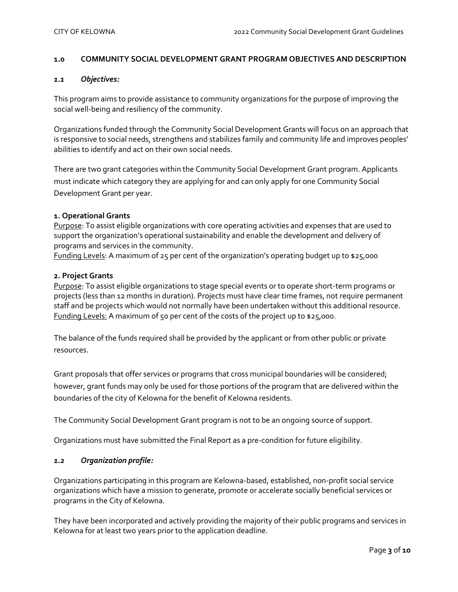#### **1.0 COMMUNITY SOCIAL DEVELOPMENT GRANT PROGRAM OBJECTIVES AND DESCRIPTION**

#### *1.1 Objectives:*

This program aims to provide assistance to community organizations for the purpose of improving the social well-being and resiliency of the community.

Organizations funded through the Community Social Development Grants will focus on an approach that is responsive to social needs, strengthens and stabilizes family and community life and improves peoples' abilities to identify and act on their own social needs.

There are two grant categories within the Community Social Development Grant program. Applicants must indicate which category they are applying for and can only apply for one Community Social Development Grant per year.

#### **1. Operational Grants**

Purpose: To assist eligible organizations with core operating activities and expenses that are used to support the organization's operational sustainability and enable the development and delivery of programs and services in the community.

Funding Levels: A maximum of 25 per cent of the organization's operating budget up to \$25,000

#### **2. Project Grants**

Purpose: To assist eligible organizations to stage special events or to operate short-term programs or projects (less than 12 months in duration). Projects must have clear time frames, not require permanent staff and be projects which would not normally have been undertaken without this additional resource. Funding Levels: A maximum of 50 per cent of the costs of the project up to \$25,000.

The balance of the funds required shall be provided by the applicant or from other public or private resources.

Grant proposals that offer services or programs that cross municipal boundaries will be considered; however, grant funds may only be used for those portions of the program that are delivered within the boundaries of the city of Kelowna for the benefit of Kelowna residents.

The Community Social Development Grant program is not to be an ongoing source of support.

Organizations must have submitted the Final Report as a pre-condition for future eligibility.

### *1.2 Organization profile:*

Organizations participating in this program are Kelowna-based, established, non-profit social service organizations which have a mission to generate, promote or accelerate socially beneficial services or programs in the City of Kelowna.

They have been incorporated and actively providing the majority of their public programs and services in Kelowna for at least two years prior to the application deadline.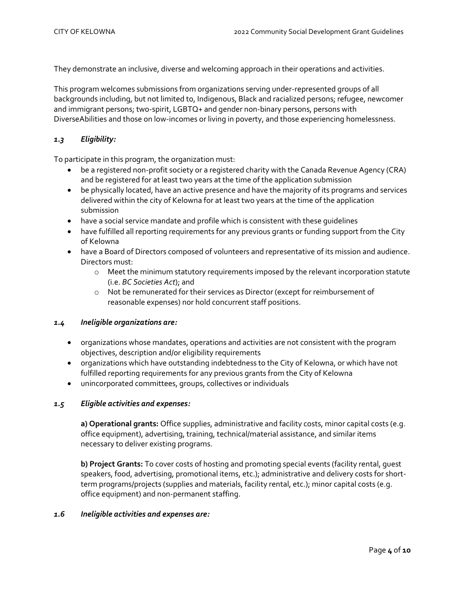They demonstrate an inclusive, diverse and welcoming approach in their operations and activities.

This program welcomes submissions from organizations serving under-represented groups of all backgrounds including, but not limited to, Indigenous, Black and racialized persons; refugee, newcomer and immigrant persons; two-spirit, LGBTQ+ and gender non-binary persons, persons with DiverseAbilities and those on low-incomes or living in poverty, and those experiencing homelessness.

# *1.3 Eligibility:*

To participate in this program, the organization must:

- be a registered non-profit society or a registered charity with the Canada Revenue Agency (CRA) and be registered for at least two years at the time of the application submission
- be physically located, have an active presence and have the majority of its programs and services delivered within the city of Kelowna for at least two years at the time of the application submission
- have a social service mandate and profile which is consistent with these guidelines
- have fulfilled all reporting requirements for any previous grants or funding support from the City of Kelowna
- have a Board of Directors composed of volunteers and representative of its mission and audience. Directors must:
	- $\circ$  Meet the minimum statutory requirements imposed by the relevant incorporation statute (i.e. *BC Societies Act*); and
	- o Not be remunerated for their services as Director (except for reimbursement of reasonable expenses) nor hold concurrent staff positions.

#### *1.4 Ineligible organizations are:*

- organizations whose mandates, operations and activities are not consistent with the program objectives, description and/or eligibility requirements
- organizations which have outstanding indebtedness to the City of Kelowna, or which have not fulfilled reporting requirements for any previous grants from the City of Kelowna
- unincorporated committees, groups, collectives or individuals

#### *1.5 Eligible activities and expenses:*

**a) Operational grants:** Office supplies, administrative and facility costs, minor capital costs (e.g. office equipment), advertising, training, technical/material assistance, and similar items necessary to deliver existing programs.

**b) Project Grants:** To cover costs of hosting and promoting special events (facility rental, guest speakers, food, advertising, promotional items, etc.); administrative and delivery costs for shortterm programs/projects (supplies and materials, facility rental, etc.); minor capital costs (e.g. office equipment) and non-permanent staffing.

#### *1.6 Ineligible activities and expenses are:*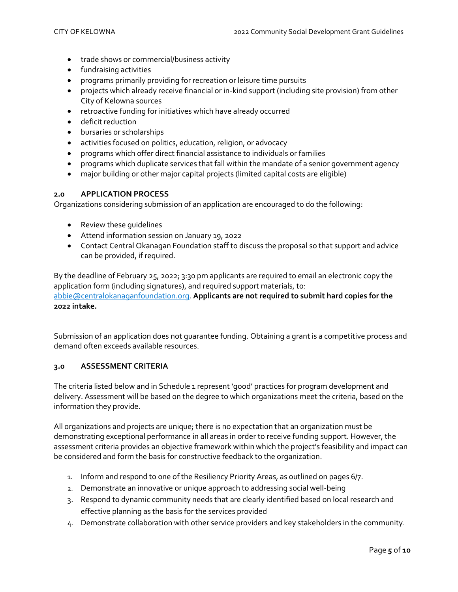- trade shows or commercial/business activity
- fundraising activities
- programs primarily providing for recreation or leisure time pursuits
- projects which already receive financial or in-kind support (including site provision) from other City of Kelowna sources
- retroactive funding for initiatives which have already occurred
- deficit reduction
- bursaries or scholarships
- activities focused on politics, education, religion, or advocacy
- programs which offer direct financial assistance to individuals or families
- programs which duplicate services that fall within the mandate of a senior government agency
- major building or other major capital projects (limited capital costs are eligible)

#### **2.0 APPLICATION PROCESS**

Organizations considering submission of an application are encouraged to do the following:

- Review these guidelines
- Attend information session on January 19, 2022
- Contact Central Okanagan Foundation staff to discuss the proposal so that support and advice can be provided, if required.

By the deadline of February 25, 2022; 3:30 pm applicants are required to email an electronic copy the application form (including signatures), and required support materials, to: [abbie@centralokanaganfoundation.org.](mailto:abbie@centralokanaganfoundation.org) **Applicants are not required to submit hard copies for the 2022 intake.**

Submission of an application does not guarantee funding. Obtaining a grant is a competitive process and demand often exceeds available resources.

# **3.0 ASSESSMENT CRITERIA**

The criteria listed below and in Schedule 1 represent 'good' practices for program development and delivery. Assessment will be based on the degree to which organizations meet the criteria, based on the information they provide.

All organizations and projects are unique; there is no expectation that an organization must be demonstrating exceptional performance in all areas in order to receive funding support. However, the assessment criteria provides an objective framework within which the project's feasibility and impact can be considered and form the basis for constructive feedback to the organization.

- 1. Inform and respond to one of the Resiliency Priority Areas, as outlined on pages 6/7.
- 2. Demonstrate an innovative or unique approach to addressing social well-being
- 3. Respond to dynamic community needs that are clearly identified based on local research and effective planning as the basis for the services provided
- 4. Demonstrate collaboration with other service providers and key stakeholders in the community.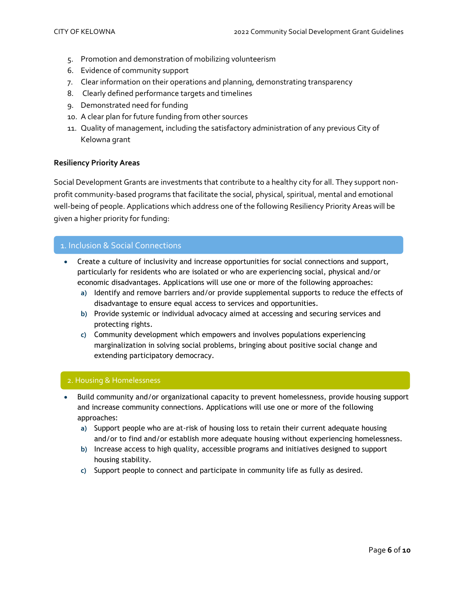- 5. Promotion and demonstration of mobilizing volunteerism
- 6. Evidence of community support
- 7. Clear information on their operations and planning, demonstrating transparency
- 8. Clearly defined performance targets and timelines
- 9. Demonstrated need for funding
- 10. A clear plan for future funding from other sources
- 11. Quality of management, including the satisfactory administration of any previous City of Kelowna grant

#### **Resiliency Priority Areas**

Social Development Grants are investments that contribute to a healthy city for all. They support nonprofit community-based programs that facilitate the social, physical, spiritual, mental and emotional well-being of people. Applications which address one of the following Resiliency Priority Areas will be given a higher priority for funding:

#### 1. Inclusion & Social Connections

- Create a culture of inclusivity and increase opportunities for social connections and support, particularly for residents who are isolated or who are experiencing social, physical and/or economic disadvantages. Applications will use one or more of the following approaches:
	- **a)** Identify and remove barriers and/or provide supplemental supports to reduce the effects of disadvantage to ensure equal access to services and opportunities.
	- **b)** Provide systemic or individual advocacy aimed at accessing and securing services and protecting rights.
	- **c)** Community development which empowers and involves populations experiencing marginalization in solving social problems, bringing about positive social change and extending participatory democracy.

#### 2. Housing & Homelessness

- Build community and/or organizational capacity to prevent homelessness, provide housing support and increase community connections. Applications will use one or more of the following approaches:
	- **a)** Support people who are at-risk of housing loss to retain their current adequate housing and/or to find and/or establish more adequate housing without experiencing homelessness.
	- **b)** Increase access to high quality, accessible programs and initiatives designed to support housing stability.
	- **c)** Support people to connect and participate in community life as fully as desired.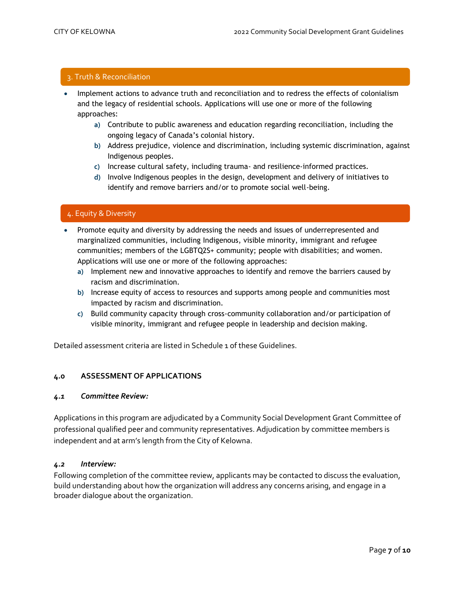# 3. Truth & Reconciliation

- Implement actions to advance truth and reconciliation and to redress the effects of colonialism and the legacy of residential schools. Applications will use one or more of the following approaches:
	- **a)** Contribute to public awareness and education regarding reconciliation, including the ongoing legacy of Canada's colonial history.
	- **b)** Address prejudice, violence and discrimination, including systemic discrimination, against Indigenous peoples.
	- **c)** Increase cultural safety, including trauma- and resilience-informed practices.
	- **d)** Involve Indigenous peoples in the design, development and delivery of initiatives to identify and remove barriers and/or to promote social well-being.

# 4. Equity & Diversity

- Promote equity and diversity by addressing the needs and issues of underrepresented and marginalized communities, including Indigenous, visible minority, immigrant and refugee communities; members of the LGBTQ2S+ community; people with disabilities; and women. Applications will use one or more of the following approaches:
	- **a)** Implement new and innovative approaches to identify and remove the barriers caused by racism and discrimination.
	- **b)** Increase equity of access to resources and supports among people and communities most impacted by racism and discrimination.
	- **c)** Build community capacity through cross-community collaboration and/or participation of visible minority, immigrant and refugee people in leadership and decision making.

Detailed assessment criteria are listed in Schedule 1 of these Guidelines.

#### **4.0 ASSESSMENT OF APPLICATIONS**

#### *4.1 Committee Review:*

Applications in this program are adjudicated by a Community Social Development Grant Committee of professional qualified peer and community representatives. Adjudication by committee members is independent and at arm's length from the City of Kelowna.

#### *4.2 Interview:*

Following completion of the committee review, applicants may be contacted to discuss the evaluation, build understanding about how the organization will address any concerns arising, and engage in a broader dialogue about the organization.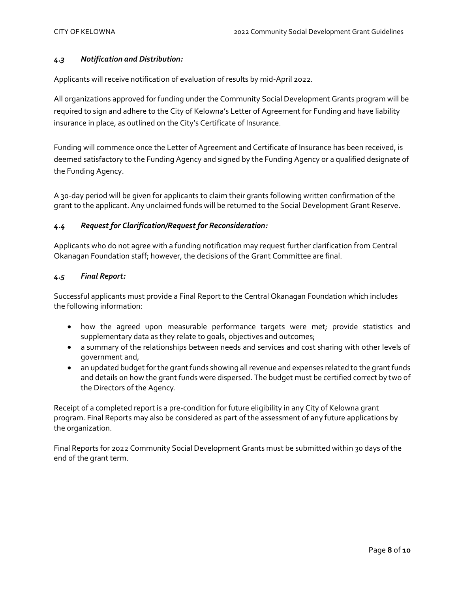## *4.3 Notification and Distribution:*

Applicants will receive notification of evaluation of results by mid-April 2022.

All organizations approved for funding under the Community Social Development Grants program will be required to sign and adhere to the City of Kelowna's Letter of Agreement for Funding and have liability insurance in place, as outlined on the City's Certificate of Insurance.

Funding will commence once the Letter of Agreement and Certificate of Insurance has been received, is deemed satisfactory to the Funding Agency and signed by the Funding Agency or a qualified designate of the Funding Agency.

A 30-day period will be given for applicants to claim their grants following written confirmation of the grant to the applicant. Any unclaimed funds will be returned to the Social Development Grant Reserve.

# *4.4 Request for Clarification/Request for Reconsideration:*

Applicants who do not agree with a funding notification may request further clarification from Central Okanagan Foundation staff; however, the decisions of the Grant Committee are final.

#### *4.5 Final Report:*

Successful applicants must provide a Final Report to the Central Okanagan Foundation which includes the following information:

- how the agreed upon measurable performance targets were met; provide statistics and supplementary data as they relate to goals, objectives and outcomes;
- a summary of the relationships between needs and services and cost sharing with other levels of government and,
- an updated budget for the grant funds showing all revenue and expenses related to the grant funds and details on how the grant funds were dispersed. The budget must be certified correct by two of the Directors of the Agency.

Receipt of a completed report is a pre-condition for future eligibility in any City of Kelowna grant program. Final Reports may also be considered as part of the assessment of any future applications by the organization.

Final Reports for 2022 Community Social Development Grants must be submitted within 30 days of the end of the grant term.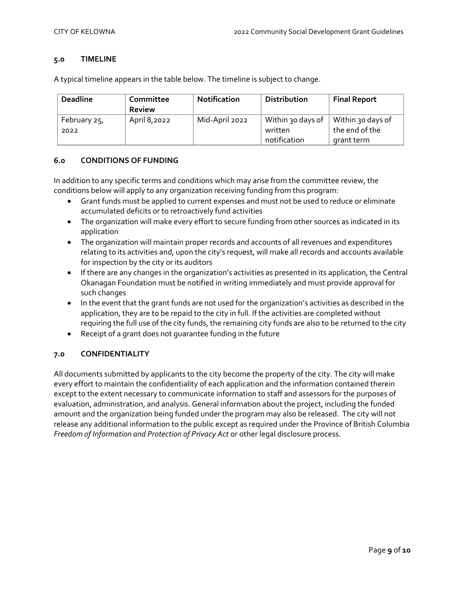#### **5.0 TIMELINE**

A typical timeline appears in the table below. The timeline is subject to change.

| <b>Deadline</b> | Committee<br><b>Review</b> | <b>Notification</b> | <b>Distribution</b> | <b>Final Report</b> |
|-----------------|----------------------------|---------------------|---------------------|---------------------|
| . February 25,  | April 8,2022               | Mid-April 2022      | Within 30 days of   | Within 30 days of   |
| 2022            |                            |                     | written             | the end of the      |
|                 |                            |                     | notification        | grant term          |

#### **6.0 CONDITIONS OF FUNDING**

In addition to any specific terms and conditions which may arise from the committee review, the conditions below will apply to any organization receiving funding from this program:

- Grant funds must be applied to current expenses and must not be used to reduce or eliminate accumulated deficits or to retroactively fund activities
- The organization will make every effort to secure funding from other sources as indicated in its application
- The organization will maintain proper records and accounts of all revenues and expenditures relating to its activities and, upon the city's request, will make all records and accounts available for inspection by the city or its auditors
- If there are any changes in the organization's activities as presented in its application, the Central Okanagan Foundation must be notified in writing immediately and must provide approval for such changes
- In the event that the grant funds are not used for the organization's activities as described in the application, they are to be repaid to the city in full. If the activities are completed without requiring the full use of the city funds, the remaining city funds are also to be returned to the city
- Receipt of a grant does not guarantee funding in the future

# **7.0 CONFIDENTIALITY**

All documents submitted by applicants to the city become the property of the city. The city will make every effort to maintain the confidentiality of each application and the information contained therein except to the extent necessary to communicate information to staff and assessors for the purposes of evaluation, administration, and analysis. General information about the project, including the funded amount and the organization being funded under the program may also be released. The city will not release any additional information to the public except as required under the Province of British Columbia *Freedom of Information and Protection of Privacy Act* or other legal disclosure process.